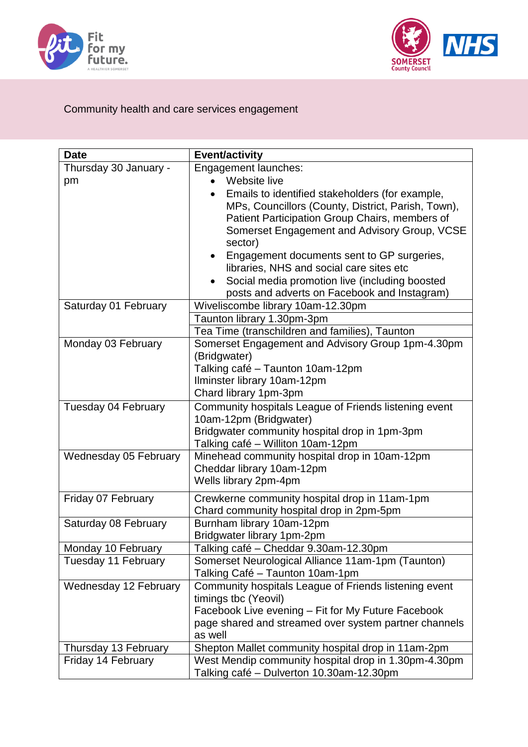



## Community health and care services engagement

| <b>Date</b>           | <b>Event/activity</b>                                                                                                                                                                                              |
|-----------------------|--------------------------------------------------------------------------------------------------------------------------------------------------------------------------------------------------------------------|
| Thursday 30 January - | <b>Engagement launches:</b>                                                                                                                                                                                        |
| pm                    | Website live                                                                                                                                                                                                       |
|                       | Emails to identified stakeholders (for example,<br>MPs, Councillors (County, District, Parish, Town),<br>Patient Participation Group Chairs, members of<br>Somerset Engagement and Advisory Group, VCSE<br>sector) |
|                       | Engagement documents sent to GP surgeries,                                                                                                                                                                         |
|                       | libraries, NHS and social care sites etc                                                                                                                                                                           |
|                       | Social media promotion live (including boosted                                                                                                                                                                     |
|                       | posts and adverts on Facebook and Instagram)                                                                                                                                                                       |
| Saturday 01 February  | Wiveliscombe library 10am-12.30pm                                                                                                                                                                                  |
|                       | Taunton library 1.30pm-3pm                                                                                                                                                                                         |
|                       | Tea Time (transchildren and families), Taunton                                                                                                                                                                     |
| Monday 03 February    | Somerset Engagement and Advisory Group 1pm-4.30pm<br>(Bridgwater)                                                                                                                                                  |
|                       | Talking café - Taunton 10am-12pm                                                                                                                                                                                   |
|                       | Ilminster library 10am-12pm                                                                                                                                                                                        |
|                       | Chard library 1pm-3pm                                                                                                                                                                                              |
| Tuesday 04 February   | Community hospitals League of Friends listening event<br>10am-12pm (Bridgwater)<br>Bridgwater community hospital drop in 1pm-3pm<br>Talking café - Williton 10am-12pm                                              |
| Wednesday 05 February | Minehead community hospital drop in 10am-12pm<br>Cheddar library 10am-12pm<br>Wells library 2pm-4pm                                                                                                                |
| Friday 07 February    | Crewkerne community hospital drop in 11am-1pm<br>Chard community hospital drop in 2pm-5pm                                                                                                                          |
| Saturday 08 February  | Burnham library 10am-12pm<br>Bridgwater library 1pm-2pm                                                                                                                                                            |
| Monday 10 February    | Talking café - Cheddar 9.30am-12.30pm                                                                                                                                                                              |
| Tuesday 11 February   | Somerset Neurological Alliance 11am-1pm (Taunton)<br>Talking Café - Taunton 10am-1pm                                                                                                                               |
| Wednesday 12 February | Community hospitals League of Friends listening event<br>timings tbc (Yeovil)<br>Facebook Live evening – Fit for My Future Facebook<br>page shared and streamed over system partner channels<br>as well            |
| Thursday 13 February  | Shepton Mallet community hospital drop in 11am-2pm                                                                                                                                                                 |
| Friday 14 February    | West Mendip community hospital drop in 1.30pm-4.30pm<br>Talking café - Dulverton 10.30am-12.30pm                                                                                                                   |